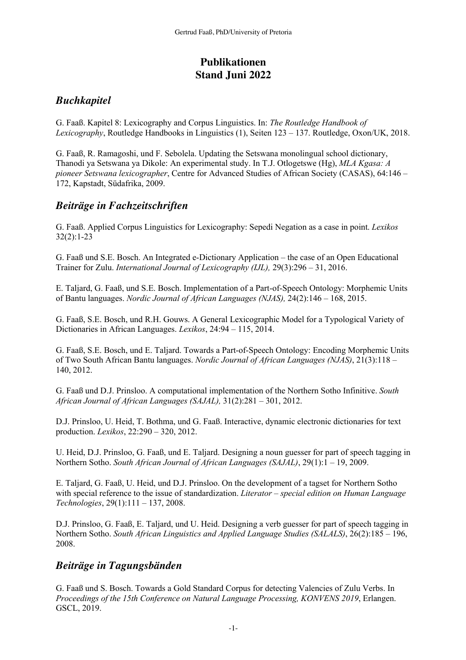# **Publikationen Stand Juni 2022**

## *Buchkapitel*

G. Faaß. Kapitel 8: Lexicography and Corpus Linguistics. In: *The Routledge Handbook of Lexicography*, Routledge Handbooks in Linguistics (1), Seiten 123 – 137. Routledge, Oxon/UK, 2018.

G. Faaß, R. Ramagoshi, und F. Sebolela. Updating the Setswana monolingual school dictionary, Thanodi ya Setswana ya Dikole: An experimental study. In T.J. Otlogetswe (Hg), *MLA Kgasa: A pioneer Setswana lexicographer*, Centre for Advanced Studies of African Society (CASAS), 64:146 – 172, Kapstadt, Südafrika, 2009.

### *Beiträge in Fachzeitschriften*

G. Faaß. Applied Corpus Linguistics for Lexicography: Sepedi Negation as a case in point. *Lexikos* 32(2):1-23

G. Faaß und S.E. Bosch. An Integrated e-Dictionary Application – the case of an Open Educational Trainer for Zulu. *International Journal of Lexicography (IJL),* 29(3):296 – 31, 2016.

E. Taljard, G. Faaß, und S.E. Bosch. Implementation of a Part-of-Speech Ontology: Morphemic Units of Bantu languages. *Nordic Journal of African Languages (NJAS),* 24(2):146 – 168, 2015.

G. Faaß, S.E. Bosch, und R.H. Gouws. A General Lexicographic Model for a Typological Variety of Dictionaries in African Languages. *Lexikos*, 24:94 – 115, 2014.

G. Faaß, S.E. Bosch, und E. Taljard. Towards a Part-of-Speech Ontology: Encoding Morphemic Units of Two South African Bantu languages. *Nordic Journal of African Languages (NJAS)*, 21(3):118 – 140, 2012.

G. Faaß und D.J. Prinsloo. A computational implementation of the Northern Sotho Infinitive. *South African Journal of African Languages (SAJAL),* 31(2):281 – 301, 2012.

D.J. Prinsloo, U. Heid, T. Bothma, und G. Faaß. Interactive, dynamic electronic dictionaries for text production. *Lexikos*, 22:290 – 320, 2012.

U. Heid, D.J. Prinsloo, G. Faaß, und E. Taljard. Designing a noun guesser for part of speech tagging in Northern Sotho. *South African Journal of African Languages (SAJAL)*, 29(1):1 – 19, 2009.

E. Taljard, G. Faaß, U. Heid, und D.J. Prinsloo. On the development of a tagset for Northern Sotho with special reference to the issue of standardization. *Literator – special edition on Human Language Technologies*, 29(1):111 – 137, 2008.

D.J. Prinsloo, G. Faaß, E. Taljard, und U. Heid. Designing a verb guesser for part of speech tagging in Northern Sotho. *South African Linguistics and Applied Language Studies (SALALS)*, 26(2):185 – 196, 2008.

#### *Beiträge in Tagungsbänden*

G. Faaß und S. Bosch. Towards a Gold Standard Corpus for detecting Valencies of Zulu Verbs. In *Proceedings of the 15th Conference on Natural Language Processing, KONVENS 2019*, Erlangen. GSCL, 2019.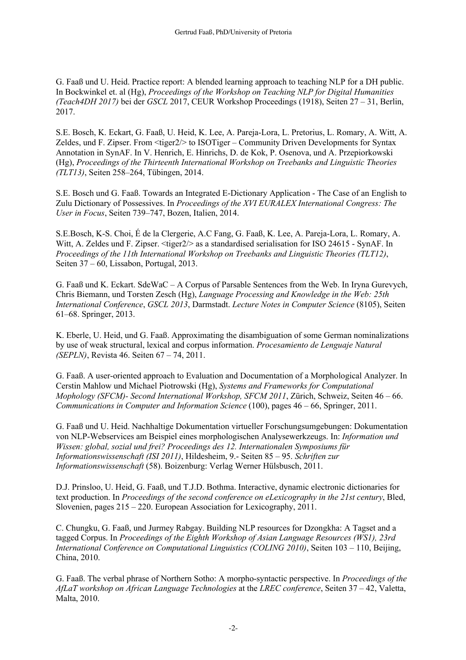G. Faaß und U. Heid. Practice report: A blended learning approach to teaching NLP for a DH public. In Bockwinkel et. al (Hg), *Proceedings of the Workshop on Teaching NLP for Digital Humanities (Teach4DH 2017)* bei der *GSCL* 2017, CEUR Workshop Proceedings (1918), Seiten 27 – 31, Berlin, 2017.

S.E. Bosch, K. Eckart, G. Faaß, U. Heid, K. Lee, A. Pareja-Lora, L. Pretorius, L. Romary, A. Witt, A. Zeldes, und F. Zipser. From <tiger2/> to ISOTiger – Community Driven Developments for Syntax Annotation in SynAF. In V. Henrich, E. Hinrichs, D. de Kok, P. Osenova, und A. Przepiorkowski (Hg), *Proceedings of the Thirteenth International Workshop on Treebanks and Linguistic Theories (TLT13)*, Seiten 258–264, Tübingen, 2014.

S.E. Bosch und G. Faaß. Towards an Integrated E-Dictionary Application - The Case of an English to Zulu Dictionary of Possessives. In *Proceedings of the XVI EURALEX International Congress: The User in Focus*, Seiten 739–747, Bozen, Italien, 2014.

S.E.Bosch, K-S. Choi, É de la Clergerie, A.C Fang, G. Faaß, K. Lee, A. Pareja-Lora, L. Romary, A. Witt, A. Zeldes und F. Zipser. <tiger $2$ /> as a standardised serialisation for ISO 24615 - SynAF. In *Proceedings of the 11th International Workshop on Treebanks and Linguistic Theories (TLT12)*, Seiten 37 – 60, Lissabon, Portugal, 2013.

G. Faaß und K. Eckart. SdeWaC – A Corpus of Parsable Sentences from the Web. In Iryna Gurevych, Chris Biemann, und Torsten Zesch (Hg), *Language Processing and Knowledge in the Web: 25th International Conference*, *GSCL 2013*, Darmstadt. *Lecture Notes in Computer Science* (8105), Seiten 61–68. Springer, 2013.

K. Eberle, U. Heid, und G. Faaß. Approximating the disambiguation of some German nominalizations by use of weak structural, lexical and corpus information. *Procesamiento de Lenguaje Natural (SEPLN)*, Revista 46. Seiten 67 – 74, 2011.

G. Faaß. A user-oriented approach to Evaluation and Documentation of a Morphological Analyzer. In Cerstin Mahlow und Michael Piotrowski (Hg), *Systems and Frameworks for Computational Mophology (SFCM)- Second International Workshop, SFCM 2011*, Zürich, Schweiz, Seiten 46 – 66. *Communications in Computer and Information Science* (100), pages 46 – 66, Springer, 2011.

G. Faaß und U. Heid. Nachhaltige Dokumentation virtueller Forschungsumgebungen: Dokumentation von NLP-Webservices am Beispiel eines morphologischen Analysewerkzeugs. In: *Information und Wissen: global, sozial und frei? Proceedings des 12. Internationalen Symposiums für Informationswissenschaft (ISI 2011)*, Hildesheim, 9.- Seiten 85 – 95. *Schriften zur Informationswissenschaft* (58). Boizenburg: Verlag Werner Hülsbusch, 2011.

D.J. Prinsloo, U. Heid, G. Faaß, und T.J.D. Bothma. Interactive, dynamic electronic dictionaries for text production. In *Proceedings of the second conference on eLexicography in the 21st century*, Bled, Slovenien, pages 215 – 220. European Association for Lexicography, 2011.

C. Chungku, G. Faaß, und Jurmey Rabgay. Building NLP resources for Dzongkha: A Tagset and a tagged Corpus. In *Proceedings of the Eighth Workshop of Asian Language Resources (WS1), 23rd International Conference on Computational Linguistics (COLING 2010)*, Seiten 103 – 110, Beijing, China, 2010.

G. Faaß. The verbal phrase of Northern Sotho: A morpho-syntactic perspective. In *Proceedings of the AfLaT workshop on African Language Technologies* at the *LREC conference*, Seiten 37 – 42, Valetta, Malta, 2010.